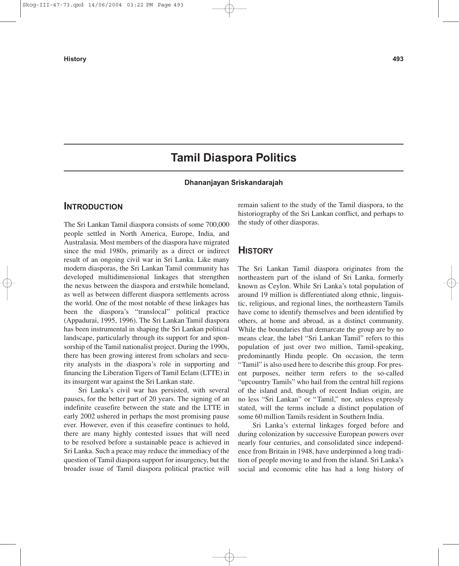# **Tamil Diaspora Politics**

**Dhananjayan Sriskandarajah**

## **INTRODUCTION**

The Sri Lankan Tamil diaspora consists of some 700,000 people settled in North America, Europe, India, and Australasia. Most members of the diaspora have migrated since the mid 1980s, primarily as a direct or indirect result of an ongoing civil war in Sri Lanka. Like many modern diasporas, the Sri Lankan Tamil community has developed multidimensional linkages that strengthen the nexus between the diaspora and erstwhile homeland, as well as between different diaspora settlements across the world. One of the most notable of these linkages has been the diaspora's "translocal" political practice (Appadurai, 1995, 1996). The Sri Lankan Tamil diaspora has been instrumental in shaping the Sri Lankan political landscape, particularly through its support for and sponsorship of the Tamil nationalist project. During the 1990s, there has been growing interest from scholars and security analysts in the diaspora's role in supporting and financing the Liberation Tigers of Tamil Eelam (LTTE) in its insurgent war against the Sri Lankan state.

Sri Lanka's civil war has persisted, with several pauses, for the better part of 20 years. The signing of an indefinite ceasefire between the state and the LTTE in early 2002 ushered in perhaps the most promising pause ever. However, even if this ceasefire continues to hold, there are many highly contested issues that will need to be resolved before a sustainable peace is achieved in Sri Lanka. Such a peace may reduce the immediacy of the question of Tamil diaspora support for insurgency, but the broader issue of Tamil diaspora political practice will remain salient to the study of the Tamil diaspora, to the historiography of the Sri Lankan conflict, and perhaps to the study of other diasporas.

## **HISTORY**

The Sri Lankan Tamil diaspora originates from the northeastern part of the island of Sri Lanka, formerly known as Ceylon. While Sri Lanka's total population of around 19 million is differentiated along ethnic, linguistic, religious, and regional lines, the northeastern Tamils have come to identify themselves and been identified by others, at home and abroad, as a distinct community. While the boundaries that demarcate the group are by no means clear, the label "Sri Lankan Tamil" refers to this population of just over two million, Tamil-speaking, predominantly Hindu people. On occasion, the term "Tamil" is also used here to describe this group. For present purposes, neither term refers to the so-called "upcountry Tamils" who hail from the central hill regions of the island and, though of recent Indian origin, are no less "Sri Lankan" or "Tamil," nor, unless expressly stated, will the terms include a distinct population of some 60 million Tamils resident in Southern India.

Sri Lanka's external linkages forged before and during colonization by successive European powers over nearly four centuries, and consolidated since independence from Britain in 1948, have underpinned a long tradition of people moving to and from the island. Sri Lanka's social and economic elite has had a long history of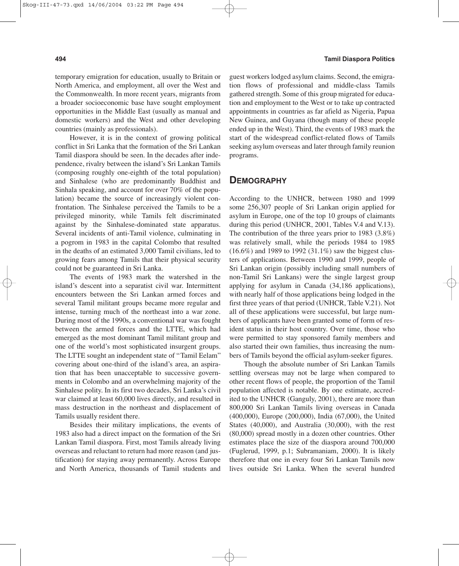temporary emigration for education, usually to Britain or North America, and employment, all over the West and the Commonwealth. In more recent years, migrants from a broader socioeconomic base have sought employment opportunities in the Middle East (usually as manual and domestic workers) and the West and other developing countries (mainly as professionals).

However, it is in the context of growing political conflict in Sri Lanka that the formation of the Sri Lankan Tamil diaspora should be seen. In the decades after independence, rivalry between the island's Sri Lankan Tamils (composing roughly one-eighth of the total population) and Sinhalese (who are predominantly Buddhist and Sinhala speaking, and account for over 70% of the population) became the source of increasingly violent confrontation. The Sinhalese perceived the Tamils to be a privileged minority, while Tamils felt discriminated against by the Sinhalese-dominated state apparatus. Several incidents of anti-Tamil violence, culminating in a pogrom in 1983 in the capital Colombo that resulted in the deaths of an estimated 3,000 Tamil civilians, led to growing fears among Tamils that their physical security could not be guaranteed in Sri Lanka.

The events of 1983 mark the watershed in the island's descent into a separatist civil war. Intermittent encounters between the Sri Lankan armed forces and several Tamil militant groups became more regular and intense, turning much of the northeast into a war zone. During most of the 1990s, a conventional war was fought between the armed forces and the LTTE, which had emerged as the most dominant Tamil militant group and one of the world's most sophisticated insurgent groups. The LTTE sought an independent state of "Tamil Eelam" covering about one-third of the island's area, an aspiration that has been unacceptable to successive governments in Colombo and an overwhelming majority of the Sinhalese polity. In its first two decades, Sri Lanka's civil war claimed at least 60,000 lives directly, and resulted in mass destruction in the northeast and displacement of Tamils usually resident there.

Besides their military implications, the events of 1983 also had a direct impact on the formation of the Sri Lankan Tamil diaspora. First, most Tamils already living overseas and reluctant to return had more reason (and justification) for staying away permanently. Across Europe and North America, thousands of Tamil students and

#### **494 Tamil Diaspora Politics**

guest workers lodged asylum claims. Second, the emigration flows of professional and middle-class Tamils gathered strength. Some of this group migrated for education and employment to the West or to take up contracted appointments in countries as far afield as Nigeria, Papua New Guinea, and Guyana (though many of these people ended up in the West). Third, the events of 1983 mark the start of the widespread conflict-related flows of Tamils seeking asylum overseas and later through family reunion programs.

## **DEMOGRAPHY**

According to the UNHCR, between 1980 and 1999 some 256,307 people of Sri Lankan origin applied for asylum in Europe, one of the top 10 groups of claimants during this period (UNHCR, 2001, Tables V.4 and V.13). The contribution of the three years prior to 1983 (3.8%) was relatively small, while the periods 1984 to 1985 (16.6%) and 1989 to 1992 (31.1%) saw the biggest clusters of applications. Between 1990 and 1999, people of Sri Lankan origin (possibly including small numbers of non-Tamil Sri Lankans) were the single largest group applying for asylum in Canada (34,186 applications), with nearly half of those applications being lodged in the first three years of that period (UNHCR, Table V.21). Not all of these applications were successful, but large numbers of applicants have been granted some of form of resident status in their host country. Over time, those who were permitted to stay sponsored family members and also started their own families, thus increasing the numbers of Tamils beyond the official asylum-seeker figures.

Though the absolute number of Sri Lankan Tamils settling overseas may not be large when compared to other recent flows of people, the proportion of the Tamil population affected is notable. By one estimate, accredited to the UNHCR (Ganguly, 2001), there are more than 800,000 Sri Lankan Tamils living overseas in Canada (400,000), Europe (200,000), India (67,000), the United States (40,000), and Australia (30,000), with the rest (80,000) spread mostly in a dozen other countries. Other estimates place the size of the diaspora around 700,000 (Fuglerud, 1999, p.1; Subramaniam, 2000). It is likely therefore that one in every four Sri Lankan Tamils now lives outside Sri Lanka. When the several hundred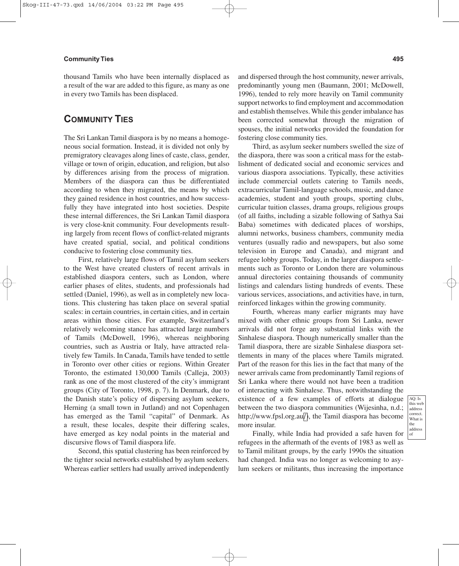### **Community Ties 495**

thousand Tamils who have been internally displaced as a result of the war are added to this figure, as many as one in every two Tamils has been displaced.

## **COMMUNITY TIES**

The Sri Lankan Tamil diaspora is by no means a homogeneous social formation. Instead, it is divided not only by premigratory cleavages along lines of caste, class, gender, village or town of origin, education, and religion, but also by differences arising from the process of migration. Members of the diaspora can thus be differentiated according to when they migrated, the means by which they gained residence in host countries, and how successfully they have integrated into host societies. Despite these internal differences, the Sri Lankan Tamil diaspora is very close-knit community. Four developments resulting largely from recent flows of conflict-related migrants have created spatial, social, and political conditions conducive to fostering close community ties.

First, relatively large flows of Tamil asylum seekers to the West have created clusters of recent arrivals in established diaspora centers, such as London, where earlier phases of elites, students, and professionals had settled (Daniel, 1996), as well as in completely new locations. This clustering has taken place on several spatial scales: in certain countries, in certain cities, and in certain areas within those cities. For example, Switzerland's relatively welcoming stance has attracted large numbers of Tamils (McDowell, 1996), whereas neighboring countries, such as Austria or Italy, have attracted relatively few Tamils. In Canada, Tamils have tended to settle in Toronto over other cities or regions. Within Greater Toronto, the estimated 130,000 Tamils (Calleja, 2003) rank as one of the most clustered of the city's immigrant groups (City of Toronto, 1998, p. 7). In Denmark, due to the Danish state's policy of dispersing asylum seekers, Herning (a small town in Jutland) and not Copenhagen has emerged as the Tamil "capital" of Denmark. As a result, these locales, despite their differing scales, have emerged as key nodal points in the material and discursive flows of Tamil diaspora life.

Second, this spatial clustering has been reinforced by the tighter social networks established by asylum seekers. Whereas earlier settlers had usually arrived independently and dispersed through the host community, newer arrivals, predominantly young men (Baumann, 2001; McDowell, 1996), tended to rely more heavily on Tamil community support networks to find employment and accommodation and establish themselves. While this gender imbalance has been corrected somewhat through the migration of spouses, the initial networks provided the foundation for fostering close community ties.

Third, as asylum seeker numbers swelled the size of the diaspora, there was soon a critical mass for the establishment of dedicated social and economic services and various diaspora associations. Typically, these activities include commercial outlets catering to Tamils needs, extracurricular Tamil-language schools, music, and dance academies, student and youth groups, sporting clubs, curricular tuition classes, drama groups, religious groups (of all faiths, including a sizable following of Sathya Sai Baba) sometimes with dedicated places of worships, alumni networks, business chambers, community media ventures (usually radio and newspapers, but also some television in Europe and Canada), and migrant and refugee lobby groups. Today, in the larger diaspora settlements such as Toronto or London there are voluminous annual directories containing thousands of community listings and calendars listing hundreds of events. These various services, associations, and activities have, in turn, reinforced linkages within the growing community.

Fourth, whereas many earlier migrants may have mixed with other ethnic groups from Sri Lanka, newer arrivals did not forge any substantial links with the Sinhalese diaspora. Though numerically smaller than the Tamil diaspora, there are sizable Sinhalese diaspora settlements in many of the places where Tamils migrated. Part of the reason for this lies in the fact that many of the newer arrivals came from predominantly Tamil regions of Sri Lanka where there would not have been a tradition of interacting with Sinhalese. Thus, notwithstanding the existence of a few examples of efforts at dialogue between the two diaspora communities (Wijesinha, n.d.; http://www.fpsl.org.au/ $\bar{\ }$ , the Tamil diaspora has become more insular.

Finally, while India had provided a safe haven for refugees in the aftermath of the events of 1983 as well as to Tamil militant groups, by the early 1990s the situation had changed. India was no longer as welcoming to asylum seekers or militants, thus increasing the importance

AQ: Is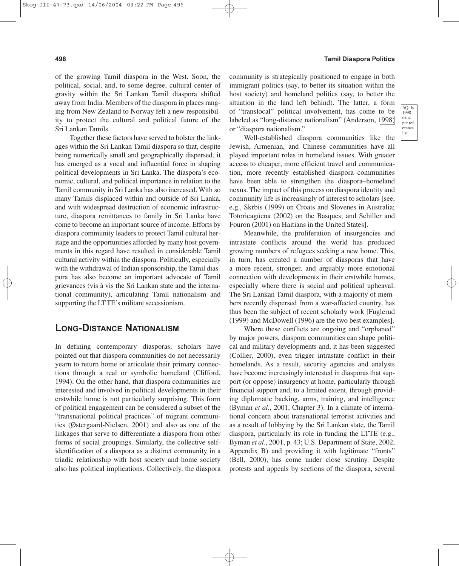of the growing Tamil diaspora in the West. Soon, the political, social, and, to some degree, cultural center of gravity within the Sri Lankan Tamil diaspora shifted away from India. Members of the diaspora in places ranging from New Zealand to Norway felt a new responsibility to protect the cultural and political future of the Sri Lankan Tamils.

Together these factors have served to bolster the linkages within the Sri Lankan Tamil diaspora so that, despite being numerically small and geographically dispersed, it has emerged as a vocal and influential force in shaping political developments in Sri Lanka. The diaspora's economic, cultural, and political importance in relation to the Tamil community in Sri Lanka has also increased. With so many Tamils displaced within and outside of Sri Lanka, and with widespread destruction of economic infrastructure, diaspora remittances to family in Sri Lanka have come to become an important source of income. Efforts by diaspora community leaders to protect Tamil cultural heritage and the opportunities afforded by many host governments in this regard have resulted in considerable Tamil cultural activity within the diaspora. Politically, especially with the withdrawal of Indian sponsorship, the Tamil diaspora has also become an important advocate of Tamil grievances (vis à vis the Sri Lankan state and the international community), articulating Tamil nationalism and supporting the LTTE's militant secessionism.

## **LONG-DISTANCE NATIONALISM**

In defining contemporary diasporas, scholars have pointed out that diaspora communities do not necessarily yearn to return home or articulate their primary connections through a real or symbolic homeland (Clifford, 1994). On the other hand, that diaspora communities are interested and involved in political developments in their erstwhile home is not particularly surprising. This form of political engagement can be considered a subset of the "transnational political practices" of migrant communities (Østergaard-Nielsen, 2001) and also as one of the linkages that serve to differentiate a diaspora from other forms of social groupings. Similarly, the collective selfidentification of a diaspora as a distinct community in a triadic relationship with host society and home society also has political implications. Collectively, the diaspora

### **496 Tamil Diaspora Politics**

AQ: Is 1998 ok as per reference list

community is strategically positioned to engage in both immigrant politics (say, to better its situation within the host society) and homeland politics (say, to better the situation in the land left behind). The latter, a form of "translocal" political involvement, has come to be labeled as "long-distance nationalism" (Anderson, 1998) or "diaspora nationalism."

Well-established diaspora communities like the Jewish, Armenian, and Chinese communities have all played important roles in homeland issues. With greater access to cheaper, more efficient travel and communication, more recently established diaspora–communities have been able to strengthen the diaspora–homeland nexus. The impact of this process on diaspora identity and community life is increasingly of interest to scholars [see, e.g., Skrbis (1999) on Croats and Slovenes in Australia; Totoricagüena (2002) on the Basques; and Schiller and Fouron (2001) on Haitians in the United States].

Meanwhile, the proliferation of insurgencies and intrastate conflicts around the world has produced growing numbers of refugees seeking a new home. This, in turn, has created a number of diasporas that have a more recent, stronger, and arguably more emotional connection with developments in their erstwhile homes, especially where there is social and political upheaval. The Sri Lankan Tamil diaspora, with a majority of members recently dispersed from a war-affected country, has thus been the subject of recent scholarly work [Fuglerud (1999) and McDowell (1996) are the two best examples].

Where these conflicts are ongoing and "orphaned" by major powers, diaspora communities can shape political and military developments and, it has been suggested (Collier, 2000), even trigger intrastate conflict in their homelands. As a result, security agencies and analysts have become increasingly interested in diasporas that support (or oppose) insurgency at home, particularly through financial support and, to a limited extent, through providing diplomatic backing, arms, training, and intelligence (Byman *et al*., 2001, Chapter 3). In a climate of international concern about transnational terrorist activities and as a result of lobbying by the Sri Lankan state, the Tamil diaspora, particularly its role in funding the LTTE (e.g., Byman *et al*., 2001, p. 43; U.S. Department of State, 2002, Appendix B) and providing it with legitimate "fronts" (Bell, 2000), has come under close scrutiny. Despite protests and appeals by sections of the diaspora, several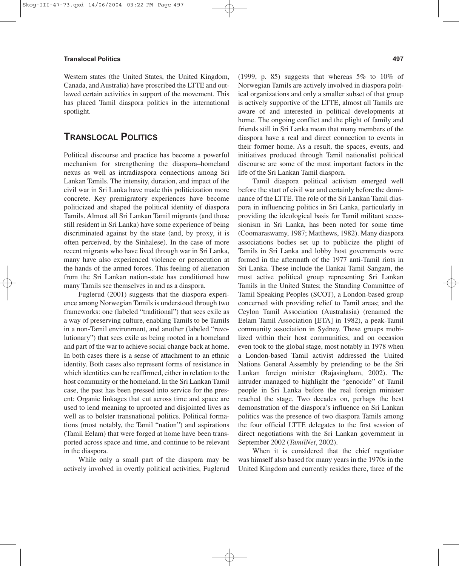### **Translocal Politics 497**

Western states (the United States, the United Kingdom, Canada, and Australia) have proscribed the LTTE and outlawed certain activities in support of the movement. This has placed Tamil diaspora politics in the international spotlight.

## **TRANSLOCAL POLITICS**

Political discourse and practice has become a powerful mechanism for strengthening the diaspora–homeland nexus as well as intradiaspora connections among Sri Lankan Tamils. The intensity, duration, and impact of the civil war in Sri Lanka have made this politicization more concrete. Key premigratory experiences have become politicized and shaped the political identity of diaspora Tamils. Almost all Sri Lankan Tamil migrants (and those still resident in Sri Lanka) have some experience of being discriminated against by the state (and, by proxy, it is often perceived, by the Sinhalese). In the case of more recent migrants who have lived through war in Sri Lanka, many have also experienced violence or persecution at the hands of the armed forces. This feeling of alienation from the Sri Lankan nation-state has conditioned how many Tamils see themselves in and as a diaspora.

Fuglerud (2001) suggests that the diaspora experience among Norwegian Tamils is understood through two frameworks: one (labeled "traditional") that sees exile as a way of preserving culture, enabling Tamils to be Tamils in a non-Tamil environment, and another (labeled "revolutionary") that sees exile as being rooted in a homeland and part of the war to achieve social change back at home. In both cases there is a sense of attachment to an ethnic identity. Both cases also represent forms of resistance in which identities can be reaffirmed, either in relation to the host community or the homeland. In the Sri Lankan Tamil case, the past has been pressed into service for the present: Organic linkages that cut across time and space are used to lend meaning to uprooted and disjointed lives as well as to bolster transnational politics. Political formations (most notably, the Tamil "nation") and aspirations (Tamil Eelam) that were forged at home have been transported across space and time, and continue to be relevant in the diaspora.

While only a small part of the diaspora may be actively involved in overtly political activities, Fuglerud (1999, p. 85) suggests that whereas 5% to 10% of Norwegian Tamils are actively involved in diaspora political organizations and only a smaller subset of that group is actively supportive of the LTTE, almost all Tamils are aware of and interested in political developments at home. The ongoing conflict and the plight of family and friends still in Sri Lanka mean that many members of the diaspora have a real and direct connection to events in their former home. As a result, the spaces, events, and initiatives produced through Tamil nationalist political discourse are some of the most important factors in the life of the Sri Lankan Tamil diaspora.

Tamil diaspora political activism emerged well before the start of civil war and certainly before the dominance of the LTTE. The role of the Sri Lankan Tamil diaspora in influencing politics in Sri Lanka, particularly in providing the ideological basis for Tamil militant secessionism in Sri Lanka, has been noted for some time (Coomaraswamy, 1987; Matthews, 1982). Many diaspora associations bodies set up to publicize the plight of Tamils in Sri Lanka and lobby host governments were formed in the aftermath of the 1977 anti-Tamil riots in Sri Lanka. These include the Ilankai Tamil Sangam, the most active political group representing Sri Lankan Tamils in the United States; the Standing Committee of Tamil Speaking Peoples (SCOT), a London-based group concerned with providing relief to Tamil areas; and the Ceylon Tamil Association (Australasia) (renamed the Eelam Tamil Association [ETA] in 1982), a peak-Tamil community association in Sydney. These groups mobilized within their host communities, and on occasion even took to the global stage, most notably in 1978 when a London-based Tamil activist addressed the United Nations General Assembly by pretending to be the Sri Lankan foreign minister (Rajasingham, 2002). The intruder managed to highlight the "genocide" of Tamil people in Sri Lanka before the real foreign minister reached the stage. Two decades on, perhaps the best demonstration of the diaspora's influence on Sri Lankan politics was the presence of two diaspora Tamils among the four official LTTE delegates to the first session of direct negotiations with the Sri Lankan government in September 2002 (*TamilNet*, 2002).

When it is considered that the chief negotiator was himself also based for many years in the 1970s in the United Kingdom and currently resides there, three of the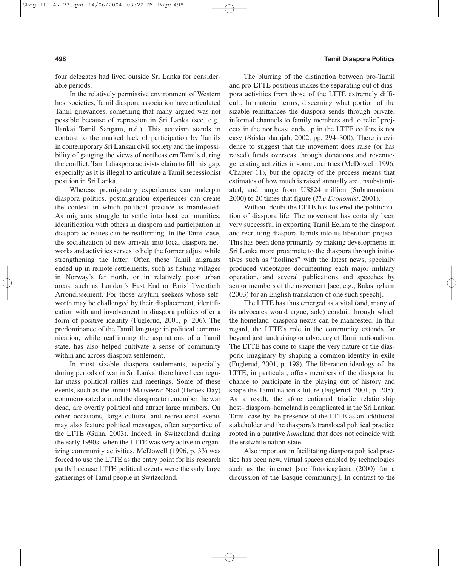four delegates had lived outside Sri Lanka for considerable periods.

In the relatively permissive environment of Western host societies, Tamil diaspora association have articulated Tamil grievances, something that many argued was not possible because of repression in Sri Lanka (see, e.g., Ilankai Tamil Sangam, n.d.). This activism stands in contrast to the marked lack of participation by Tamils in contemporary Sri Lankan civil society and the impossibility of gauging the views of northeastern Tamils during the conflict. Tamil diaspora activists claim to fill this gap, especially as it is illegal to articulate a Tamil secessionist position in Sri Lanka.

Whereas premigratory experiences can underpin diaspora politics, postmigration experiences can create the context in which political practice is manifested. As migrants struggle to settle into host communities, identification with others in diaspora and participation in diaspora activities can be reaffirming. In the Tamil case, the socialization of new arrivals into local diaspora networks and activities serves to help the former adjust while strengthening the latter. Often these Tamil migrants ended up in remote settlements, such as fishing villages in Norway's far north, or in relatively poor urban areas, such as London's East End or Paris' Twentieth Arrondissement. For those asylum seekers whose selfworth may be challenged by their displacement, identification with and involvement in diaspora politics offer a form of positive identity (Fuglerud, 2001, p. 206). The predominance of the Tamil language in political communication, while reaffirming the aspirations of a Tamil state, has also helped cultivate a sense of community within and across diaspora settlement.

In most sizable diaspora settlements, especially during periods of war in Sri Lanka, there have been regular mass political rallies and meetings. Some of these events, such as the annual Maaveerar Naal (Heroes Day) commemorated around the diaspora to remember the war dead, are overtly political and attract large numbers. On other occasions, large cultural and recreational events may also feature political messages, often supportive of the LTTE (Guha, 2003). Indeed, in Switzerland during the early 1990s, when the LTTE was very active in organizing community activities, McDowell (1996, p. 33) was forced to use the LTTE as the entry point for his research partly because LTTE political events were the only large gatherings of Tamil people in Switzerland.

#### **498 Tamil Diaspora Politics**

The blurring of the distinction between pro-Tamil and pro-LTTE positions makes the separating out of diaspora activities from those of the LTTE extremely difficult. In material terms, discerning what portion of the sizable remittances the diaspora sends through private, informal channels to family members and to relief projects in the northeast ends up in the LTTE coffers is not easy (Sriskandarajah, 2002, pp. 294–300). There is evidence to suggest that the movement does raise (or has raised) funds overseas through donations and revenuegenerating activities in some countries (McDowell, 1996, Chapter 11), but the opacity of the process means that estimates of how much is raised annually are unsubstantiated, and range from US\$24 million (Subramaniam, 2000) to 20 times that figure (*The Economist*, 2001).

Without doubt the LTTE has fostered the politicization of diaspora life. The movement has certainly been very successful in exporting Tamil Eelam to the diaspora and recruiting diaspora Tamils into its liberation project. This has been done primarily by making developments in Sri Lanka more proximate to the diaspora through initiatives such as "hotlines" with the latest news, specially produced videotapes documenting each major military operation, and several publications and speeches by senior members of the movement [see, e.g., Balasingham (2003) for an English translation of one such speech].

The LTTE has thus emerged as a vital (and, many of its advocates would argue, sole) conduit through which the homeland–diaspora nexus can be manifested. In this regard, the LTTE's role in the community extends far beyond just fundraising or advocacy of Tamil nationalism. The LTTE has come to shape the very nature of the diasporic imaginary by shaping a common identity in exile (Fuglerud, 2001, p. 198). The liberation ideology of the LTTE, in particular, offers members of the diaspora the chance to participate in the playing out of history and shape the Tamil nation's future (Fuglerud, 2001, p. 205). As a result, the aforementioned triadic relationship host–diaspora–homeland is complicated in the Sri Lankan Tamil case by the presence of the LTTE as an additional stakeholder and the diaspora's translocal political practice rooted in a putative *home*land that does not coincide with the erstwhile nation-state.

Also important in facilitating diaspora political practice has been new, virtual spaces enabled by technologies such as the internet [see Totoricagüena (2000) for a discussion of the Basque community]. In contrast to the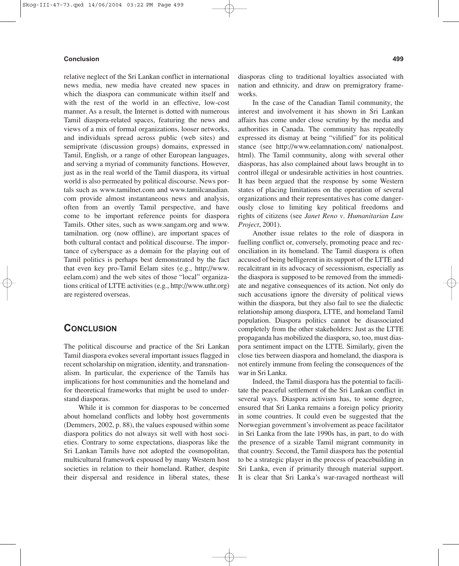#### **Conclusion 499**

relative neglect of the Sri Lankan conflict in international news media, new media have created new spaces in which the diaspora can communicate within itself and with the rest of the world in an effective, low-cost manner. As a result, the Internet is dotted with numerous Tamil diaspora-related spaces, featuring the news and views of a mix of formal organizations, looser networks, and individuals spread across public (web sites) and semiprivate (discussion groups) domains, expressed in Tamil, English, or a range of other European languages, and serving a myriad of community functions. However, just as in the real world of the Tamil diaspora, its virtual world is also permeated by political discourse. News portals such as www.tamilnet.com and www.tamilcanadian. com provide almost instantaneous news and analysis, often from an overtly Tamil perspective, and have come to be important reference points for diaspora Tamils. Other sites, such as www.sangam.org and www. tamilnation. org (now offline), are important spaces of both cultural contact and political discourse. The importance of cyberspace as a domain for the playing out of Tamil politics is perhaps best demonstrated by the fact that even key pro-Tamil Eelam sites (e.g., http://www. eelam.com) and the web sites of those "local" organizations critical of LTTE activities (e.g., http://www.uthr.org) are registered overseas.

## **CONCLUSION**

The political discourse and practice of the Sri Lankan Tamil diaspora evokes several important issues flagged in recent scholarship on migration, identity, and transnationalism. In particular, the experience of the Tamils has implications for host communities and the homeland and for theoretical frameworks that might be used to understand diasporas.

While it is common for diasporas to be concerned about homeland conflicts and lobby host governments (Demmers, 2002, p. 88), the values espoused within some diaspora politics do not always sit well with host societies. Contrary to some expectations, diasporas like the Sri Lankan Tamils have not adopted the cosmopolitan, multicultural framework espoused by many Western host societies in relation to their homeland. Rather, despite their dispersal and residence in liberal states, these

diasporas cling to traditional loyalties associated with nation and ethnicity, and draw on premigratory frameworks.

In the case of the Canadian Tamil community, the interest and involvement it has shown in Sri Lankan affairs has come under close scrutiny by the media and authorities in Canada. The community has repeatedly expressed its dismay at being "vilified" for its political stance (see http://www.eelamnation.com/ nationalpost. html). The Tamil community, along with several other diasporas, has also complained about laws brought in to control illegal or undesirable activities in host countries. It has been argued that the response by some Western states of placing limitations on the operation of several organizations and their representatives has come dangerously close to limiting key political freedoms and rights of citizens (see *Janet Reno v*. *Humanitarian Law Project*, 2001).

Another issue relates to the role of diaspora in fuelling conflict or, conversely, promoting peace and reconciliation in its homeland. The Tamil diaspora is often accused of being belligerent in its support of the LTTE and recalcitrant in its advocacy of secessionism, especially as the diaspora is supposed to be removed from the immediate and negative consequences of its action. Not only do such accusations ignore the diversity of political views within the diaspora, but they also fail to see the dialectic relationship among diaspora, LTTE, and homeland Tamil population. Diaspora politics cannot be disassociated completely from the other stakeholders: Just as the LTTE propaganda has mobilized the diaspora, so, too, must diaspora sentiment impact on the LTTE. Similarly, given the close ties between diaspora and homeland, the diaspora is not entirely immune from feeling the consequences of the war in Sri Lanka.

Indeed, the Tamil diaspora has the potential to facilitate the peaceful settlement of the Sri Lankan conflict in several ways. Diaspora activism has, to some degree, ensured that Sri Lanka remains a foreign policy priority in some countries. It could even be suggested that the Norwegian government's involvement as peace facilitator in Sri Lanka from the late 1990s has, in part, to do with the presence of a sizable Tamil migrant community in that country. Second, the Tamil diaspora has the potential to be a strategic player in the process of peacebuilding in Sri Lanka, even if primarily through material support. It is clear that Sri Lanka's war-ravaged northeast will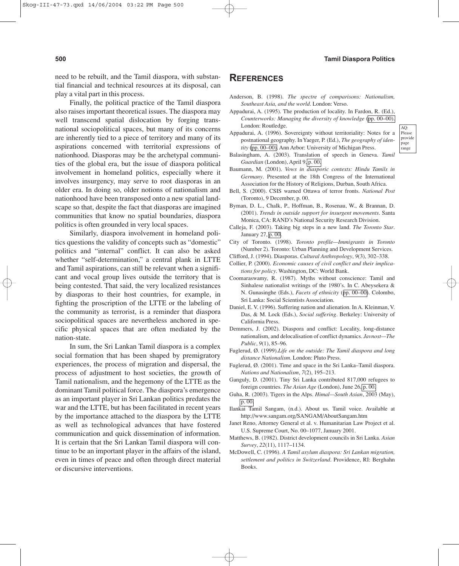#### **500 Tamil Diaspora Politics**

AQ: Please provide page range

need to be rebuilt, and the Tamil diaspora, with substantial financial and technical resources at its disposal, can play a vital part in this process.

Finally, the political practice of the Tamil diaspora also raises important theoretical issues. The diaspora may well transcend spatial dislocation by forging transnational sociopolitical spaces, but many of its concerns are inherently tied to a piece of territory and many of its aspirations concerned with territorial expressions of nationhood. Diasporas may be the archetypal communities of the global era, but the issue of diaspora political involvement in homeland politics, especially where it involves insurgency, may serve to root diasporas in an older era. In doing so, older notions of nationalism and nationhood have been transposed onto a new spatial landscape so that, despite the fact that diasporas are imagined communities that know no spatial boundaries, diaspora politics is often grounded in very local spaces.

Similarly, diaspora involvement in homeland politics questions the validity of concepts such as "domestic" politics and "internal" conflict. It can also be asked whether "self-determination," a central plank in LTTE and Tamil aspirations, can still be relevant when a significant and vocal group lives outside the territory that is being contested. That said, the very localized resistances by diasporas to their host countries, for example, in fighting the proscription of the LTTE or the labeling of the community as terrorist, is a reminder that diaspora sociopolitical spaces are nevertheless anchored in specific physical spaces that are often mediated by the nation-state.

In sum, the Sri Lankan Tamil diaspora is a complex social formation that has been shaped by premigratory experiences, the process of migration and dispersal, the process of adjustment to host societies, the growth of Tamil nationalism, and the hegemony of the LTTE as the dominant Tamil political force. The diaspora's emergence as an important player in Sri Lankan politics predates the war and the LTTE, but has been facilitated in recent years by the importance attached to the diaspora by the LTTE as well as technological advances that have fostered communication and quick dissemination of information. It is certain that the Sri Lankan Tamil diaspora will continue to be an important player in the affairs of the island, even in times of peace and often through direct material or discursive interventions.

## **REFERENCES**

- Anderson, B. (1998). *The spectre of comparisons: Nationalism, Southeast Asia, and the world*. London: Verso.
- Appadurai, A. (1995). The production of locality. In Fardon, R. (Ed.), *Counterworks: Managing the diversity of knowledge* (pp. 00–00). London: Routledge.
- Appadurai, A. (1996). Sovereignty without territoriality: Notes for a postnational geography. In Yaeger, P. (Ed.), *The geography of identity* (pp. 00–00). Ann Arbor: University of Michigan Press.
- Balasingham, A. (2003). Translation of speech in Geneva. *Tamil Guardian* (London), April 9, p. 00.
- Baumann, M. (2001). *Vows in diasporic contexts: Hindu Tamils in Germany*. Presented at the 18th Congress of the International Association for the History of Religions, Durban, South Africa.
- Bell, S. (2000). CSIS warned Ottawa of terror fronts. *National Post* (Toronto), 9 December, p. 00.
- Byman, D. L., Chalk, P., Hoffman, B., Rosenau, W., & Brannan, D. (2001). *Trends in outside support for insurgent movements*. Santa Monica, CA: RAND's National Security Research Division.
- Calleja, F. (2003). Taking big steps in a new land. *The Toronto Star*. January 27, p. 00.
- City of Toronto. (1998). *Toronto profile—Immigrants in Toronto* (Number 2). Toronto: Urban Planning and Development Services.
- Clifford, J. (1994). Diasporas. *Cultural Anthropology*, *9*(3), 302–338.
- Collier, P. (2000). *Economic causes of civil conflict and their implications for policy*. Washington, DC: World Bank.
- Coomaraswamy, R. (1987). Myths without conscience: Tamil and Sinhalese nationalist writings of the 1980's. In C. Abeysekera & N. Gunasinghe (Eds.), *Facets of ethnicity* (pp. 00-00). Colombo, Sri Lanka: Social Scientists Association.
- Daniel, E. V. (1996). Suffering nation and alienation. In A. Kleinman, V. Das, & M. Lock (Eds.), *Social suffering*. Berkeley: University of California Press.
- Demmers, J. (2002). Diaspora and conflict: Locality, long-distance nationalism, and delocalisation of conflict dynamics. *Javnost—The Public*, *9*(1), 85–96.
- Fuglerud, Ø. (1999).*Life on the outside: The Tamil diaspora and long distance Nationalism*. London: Pluto Press.
- Fuglerud, Ø. (2001). Time and space in the Sri Lanka–Tamil diaspora. *Nations and Nationalism*, *7*(2), 195–213.
- Ganguly, D. (2001). Tiny Sri Lanka contributed 817,000 refugees to foreign countries. *The Asian Age* (London), June 26, p. 00.
- Guha, R. (2003). Tigers in the Alps. *Himal—South Asian*, 2003 (May), p. 00.
- Ilankai Tamil Sangam, (n.d.). About us. Tamil voice. Available at http://www.sangam.org/SANGAM/AboutSangam.htm
- Janet Reno, Attorney General et al. v. Humanitarian Law Project et al. U.S. Supreme Court, No. 00–1077, January 2001.
- Matthews, B. (1982). District development councils in Sri Lanka. *Asian Survey*, *22*(11), 1117–1134.
- McDowell, C. (1996). *A Tamil asylum diaspora: Sri Lankan migration, settlement and politics in Switzerland*. Providence, RI: Berghahn Books.